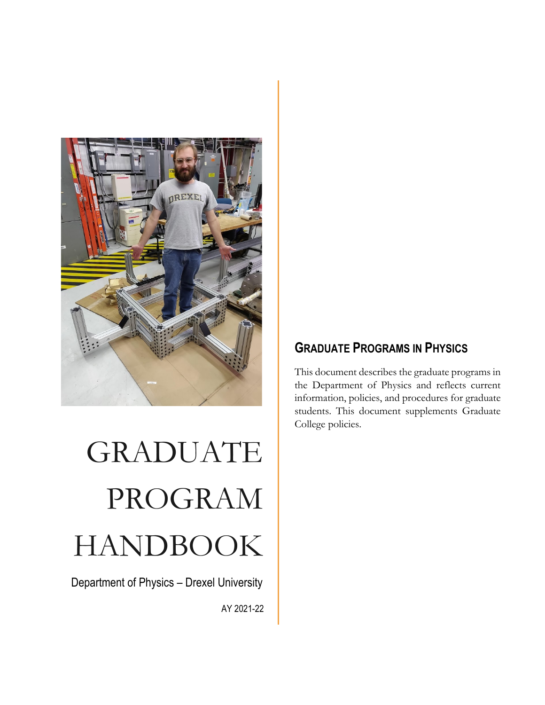

# GRADUATE PROGRAM HANDBOOK

Department of Physics – Drexel University

AY 2021-22

# **GRADUATE PROGRAMS IN PHYSICS**

This document describes the graduate programs in the Department of Physics and reflects current information, policies, and procedures for graduate students. This document supplements Graduate College policies.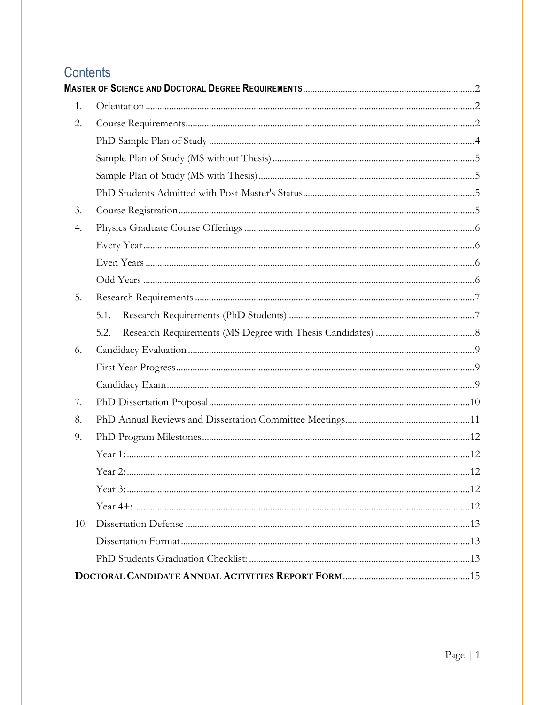# Contents

| 1.  |      |  |
|-----|------|--|
| 2.  |      |  |
|     |      |  |
|     |      |  |
|     |      |  |
|     |      |  |
| 3.  |      |  |
| 4.  |      |  |
|     |      |  |
|     |      |  |
|     |      |  |
| 5.  |      |  |
|     | 5.1. |  |
|     | 5.2. |  |
| 6.  |      |  |
|     |      |  |
|     |      |  |
| 7.  |      |  |
| 8.  |      |  |
| 9.  |      |  |
|     |      |  |
|     |      |  |
|     |      |  |
|     |      |  |
| 10. |      |  |
|     |      |  |
|     |      |  |
|     |      |  |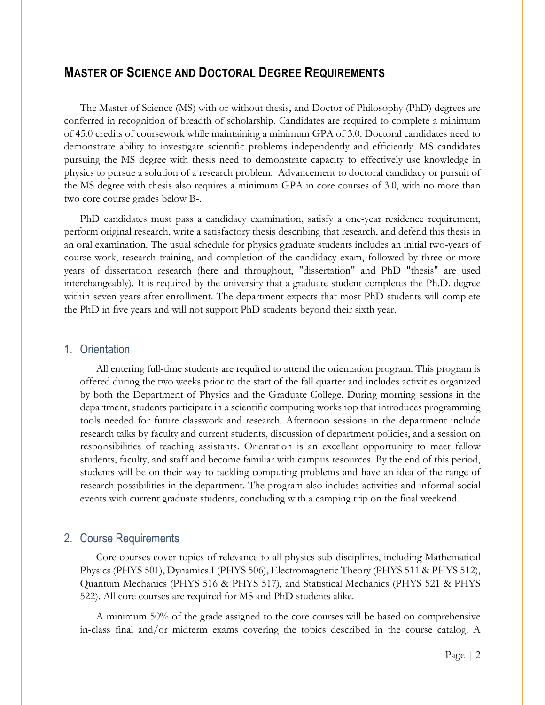# <span id="page-2-0"></span>**MASTER OF SCIENCE AND DOCTORAL DEGREE REQUIREMENTS**

The Master of Science (MS) with or without thesis, and Doctor of Philosophy (PhD) degrees are conferred in recognition of breadth of scholarship. Candidates are required to complete a minimum of 45.0 credits of coursework while maintaining a minimum GPA of 3.0. Doctoral candidates need to demonstrate ability to investigate scientific problems independently and efficiently. MS candidates pursuing the MS degree with thesis need to demonstrate capacity to effectively use knowledge in physics to pursue a solution of a research problem. Advancement to doctoral candidacy or pursuit of the MS degree with thesis also requires a minimum GPA in core courses of 3.0, with no more than two core course grades below B-.

PhD candidates must pass a candidacy examination, satisfy a one-year residence requirement, perform original research, write a satisfactory thesis describing that research, and defend this thesis in an oral examination. The usual schedule for physics graduate students includes an initial two-years of course work, research training, and completion of the candidacy exam, followed by three or more years of dissertation research (here and throughout, "dissertation" and PhD "thesis" are used interchangeably). It is required by the university that a graduate student completes the Ph.D. degree within seven years after enrollment. The department expects that most PhD students will complete the PhD in five years and will not support PhD students beyond their sixth year.

#### <span id="page-2-1"></span>1. Orientation

All entering full-time students are required to attend the orientation program. This program is offered during the two weeks prior to the start of the fall quarter and includes activities organized by both the Department of Physics and the Graduate College. During morning sessions in the department, students participate in a scientific computing workshop that introduces programming tools needed for future classwork and research. Afternoon sessions in the department include research talks by faculty and current students, discussion of department policies, and a session on responsibilities of teaching assistants. Orientation is an excellent opportunity to meet fellow students, faculty, and staff and become familiar with campus resources. By the end of this period, students will be on their way to tackling computing problems and have an idea of the range of research possibilities in the department. The program also includes activities and informal social events with current graduate students, concluding with a camping trip on the final weekend.

#### <span id="page-2-2"></span>2. Course Requirements

Core courses cover topics of relevance to all physics sub-disciplines, including Mathematical Physics (PHYS 501), Dynamics I (PHYS 506), Electromagnetic Theory (PHYS 511 & PHYS 512), Quantum Mechanics (PHYS 516 & PHYS 517), and Statistical Mechanics (PHYS 521 & PHYS 522). All core courses are required for MS and PhD students alike.

A minimum 50% of the grade assigned to the core courses will be based on comprehensive in-class final and/or midterm exams covering the topics described in the course catalog. A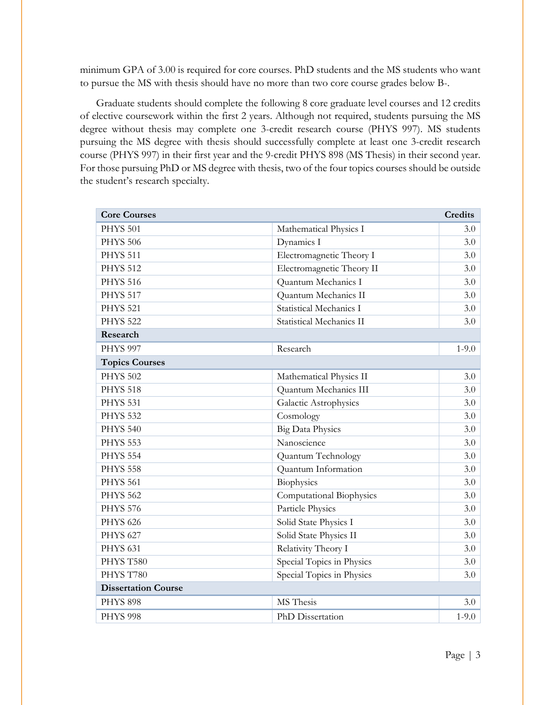minimum GPA of 3.00 is required for core courses. PhD students and the MS students who want to pursue the MS with thesis should have no more than two core course grades below B-.

Graduate students should complete the following 8 core graduate level courses and 12 credits of elective coursework within the first 2 years. Although not required, students pursuing the MS degree without thesis may complete one 3-credit research course (PHYS 997). MS students pursuing the MS degree with thesis should successfully complete at least one 3-credit research course (PHYS 997) in their first year and the 9-credit PHYS 898 (MS Thesis) in their second year. For those pursuing PhD or MS degree with thesis, two of the four topics courses should be outside the student's research specialty.

| <b>Core Courses</b>        |                           | <b>Credits</b> |
|----------------------------|---------------------------|----------------|
| <b>PHYS 501</b>            | Mathematical Physics I    | 3.0            |
| <b>PHYS 506</b>            | Dynamics I                | 3.0            |
| <b>PHYS 511</b>            | Electromagnetic Theory I  | 3.0            |
| <b>PHYS 512</b>            | Electromagnetic Theory II | 3.0            |
| <b>PHYS 516</b>            | Quantum Mechanics I       | 3.0            |
| <b>PHYS 517</b>            | Quantum Mechanics II      | 3.0            |
| <b>PHYS 521</b>            | Statistical Mechanics I   | 3.0            |
| <b>PHYS 522</b>            | Statistical Mechanics II  | 3.0            |
| Research                   |                           |                |
| <b>PHYS 997</b>            | Research                  | $1 - 9.0$      |
| <b>Topics Courses</b>      |                           |                |
| <b>PHYS 502</b>            | Mathematical Physics II   | 3.0            |
| <b>PHYS 518</b>            | Quantum Mechanics III     | 3.0            |
| <b>PHYS 531</b>            | Galactic Astrophysics     | 3.0            |
| <b>PHYS 532</b>            | Cosmology                 | 3.0            |
| <b>PHYS 540</b>            | <b>Big Data Physics</b>   | 3.0            |
| <b>PHYS 553</b>            | Nanoscience               | 3.0            |
| <b>PHYS 554</b>            | Quantum Technology        | 3.0            |
| <b>PHYS 558</b>            | Quantum Information       | 3.0            |
| <b>PHYS 561</b>            | Biophysics                | 3.0            |
| <b>PHYS 562</b>            | Computational Biophysics  | 3.0            |
| <b>PHYS 576</b>            | Particle Physics          | 3.0            |
| <b>PHYS 626</b>            | Solid State Physics I     | 3.0            |
| <b>PHYS 627</b>            | Solid State Physics II    | 3.0            |
| <b>PHYS 631</b>            | Relativity Theory I       | 3.0            |
| PHYS T580                  | Special Topics in Physics | 3.0            |
| PHYS T780                  | Special Topics in Physics | 3.0            |
| <b>Dissertation Course</b> |                           |                |
| <b>PHYS 898</b>            | MS Thesis                 | 3.0            |
| <b>PHYS 998</b>            | PhD Dissertation          | $1 - 9.0$      |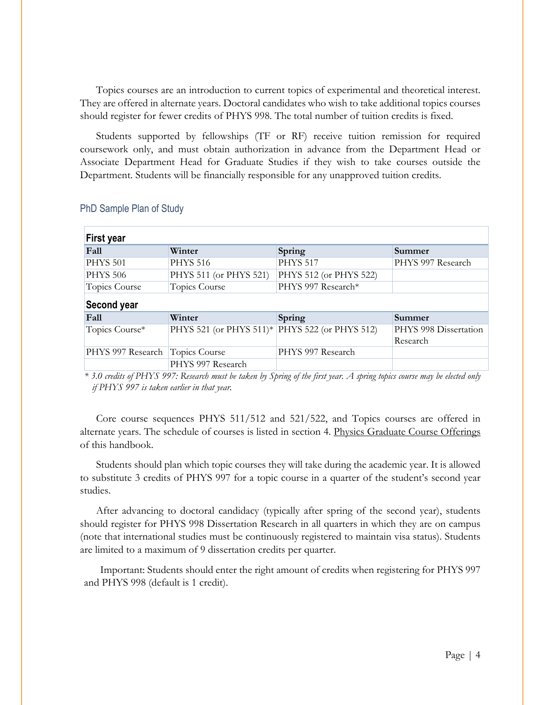Topics courses are an introduction to current topics of experimental and theoretical interest. They are offered in alternate years. Doctoral candidates who wish to take additional topics courses should register for fewer credits of PHYS 998. The total number of tuition credits is fixed.

Students supported by fellowships (TF or RF) receive tuition remission for required coursework only, and must obtain authorization in advance from the Department Head or Associate Department Head for Graduate Studies if they wish to take courses outside the Department. Students will be financially responsible for any unapproved tuition credits.

| <b>First year</b> |                         |                        |                       |
|-------------------|-------------------------|------------------------|-----------------------|
| Fall              | Winter                  | Spring                 | Summer                |
| <b>PHYS 501</b>   | <b>PHYS 516</b>         | <b>PHYS 517</b>        | PHYS 997 Research     |
| <b>PHYS 506</b>   | PHYS 511 (or PHYS 521)  | PHYS 512 (or PHYS 522) |                       |
| Topics Course     | Topics Course           | PHYS 997 Research*     |                       |
| Second year       |                         |                        |                       |
| Fall              | Winter                  | Spring                 | Summer                |
| Topics Course*    | PHYS 521 (or PHYS 511)* | PHYS 522 (or PHYS 512) | PHYS 998 Dissertation |
|                   |                         |                        | Research              |
| PHYS 997 Research | Topics Course           | PHYS 997 Research      |                       |
|                   | PHYS 997 Research       |                        |                       |

#### <span id="page-4-0"></span>PhD Sample Plan of Study

*\* 3.0 credits of PHYS 997: Research must be taken by Spring of the first year. A spring topics course may be elected only if PHYS 997 is taken earlier in that year.*

Core course sequences PHYS 511/512 and 521/522, and Topics courses are offered in alternate years. The schedule of courses is listed in section [4. Physics Graduate Course Offerings](#page-6-0) of this handbook.

Students should plan which topic courses they will take during the academic year. It is allowed to substitute 3 credits of PHYS 997 for a topic course in a quarter of the student's second year studies.

After advancing to doctoral candidacy (typically after spring of the second year), students should register for PHYS 998 Dissertation Research in all quarters in which they are on campus (note that international studies must be continuously registered to maintain visa status). Students are limited to a maximum of 9 dissertation credits per quarter.

Important: Students should enter the right amount of credits when registering for PHYS 997 and PHYS 998 (default is 1 credit).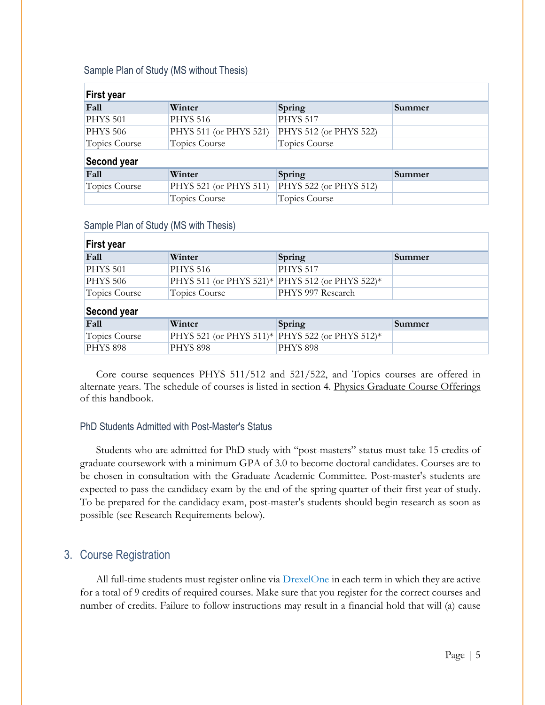<span id="page-5-0"></span>

|  |  | Sample Plan of Study (MS without Thesis) |  |
|--|--|------------------------------------------|--|
|--|--|------------------------------------------|--|

| <b>First year</b> |                        |                        |        |  |
|-------------------|------------------------|------------------------|--------|--|
| Fall              | Winter                 | Spring                 | Summer |  |
| <b>PHYS 501</b>   | <b>PHYS 516</b>        | <b>PHYS 517</b>        |        |  |
| <b>PHYS 506</b>   | PHYS 511 (or PHYS 521) | PHYS 512 (or PHYS 522) |        |  |
| Topics Course     | Topics Course          | Topics Course          |        |  |
| Second year       |                        |                        |        |  |
| Fall              | Winter                 | Spring                 | Summer |  |
| Topics Course     | PHYS 521 (or PHYS 511) | PHYS 522 (or PHYS 512) |        |  |
|                   | Topics Course          | Topics Course          |        |  |
|                   |                        |                        |        |  |

<span id="page-5-1"></span>

| Sample Plan of Study (MS with Thesis) |
|---------------------------------------|
|---------------------------------------|

| <b>First year</b>    |                 |                                                 |        |  |
|----------------------|-----------------|-------------------------------------------------|--------|--|
| Fall                 | Winter          | Spring                                          | Summer |  |
| <b>PHYS 501</b>      | <b>PHYS 516</b> | <b>PHYS 517</b>                                 |        |  |
| <b>PHYS 506</b>      |                 | PHYS 511 (or PHYS 521)* PHYS 512 (or PHYS 522)* |        |  |
| <b>Topics Course</b> | Topics Course   | PHYS 997 Research                               |        |  |
| Second year          |                 |                                                 |        |  |
| Fall                 | Winter          | Spring                                          | Summer |  |
| Topics Course        |                 | PHYS 521 (or PHYS 511)* PHYS 522 (or PHYS 512)* |        |  |
| <b>PHYS 898</b>      | <b>PHYS 898</b> | <b>PHYS 898</b>                                 |        |  |

Core course sequences PHYS 511/512 and 521/522, and Topics courses are offered in alternate years. The schedule of courses is listed in section [4. Physics Graduate Course Offerings](#page-6-0) of this handbook.

#### <span id="page-5-2"></span>PhD Students Admitted with Post-Master's Status

Students who are admitted for PhD study with "post-masters" status must take 15 credits of graduate coursework with a minimum GPA of 3.0 to become doctoral candidates. Courses are to be chosen in consultation with the Graduate Academic Committee. Post-master's students are expected to pass the candidacy exam by the end of the spring quarter of their first year of study. To be prepared for the candidacy exam, post-master's students should begin research as soon as possible (see Research Requirements below).

# <span id="page-5-3"></span>3. Course Registration

All full-time students must register online via **[DrexelOne](http://one.drexel.edu/)** in each term in which they are active for a total of 9 credits of required courses. Make sure that you register for the correct courses and number of credits. Failure to follow instructions may result in a financial hold that will (a) cause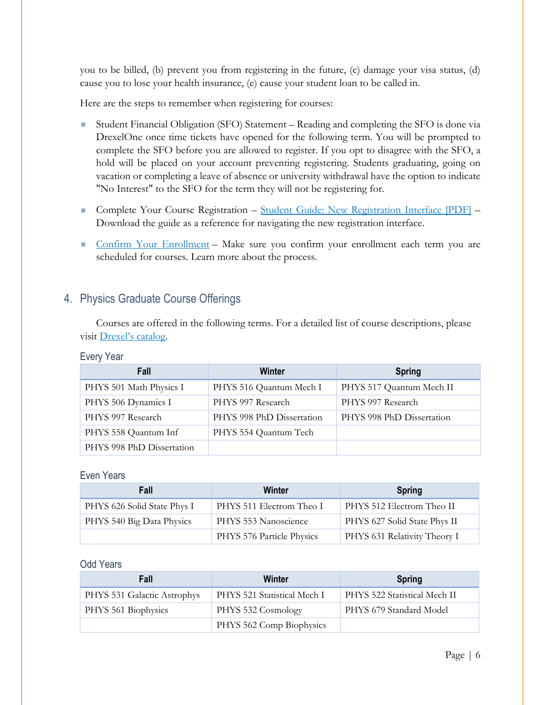you to be billed, (b) prevent you from registering in the future, (c) damage your visa status, (d) cause you to lose your health insurance, (e) cause your student loan to be called in.

Here are the steps to remember when registering for courses:

- Student Financial Obligation (SFO) Statement Reading and completing the SFO is done via DrexelOne once time tickets have opened for the following term. You will be prompted to complete the SFO before you are allowed to register. If you opt to disagree with the SFO, a hold will be placed on your account preventing registering. Students graduating, going on vacation or completing a leave of absence or university withdrawal have the option to indicate "No Interest" to the SFO for the term they will not be registering for.
- Complete Your Course Registration [Student Guide: New Registration Interface \[PDF\]](http://drexel.edu/%7E/media/Files/drexelCentral/pdfs/new-registration-guide.ashx?la=en) Download the guide as a reference for navigating the new registration interface.
- [Confirm Your Enrollment](http://drexel.edu/drexelcentral/registration/courses/confirmation/) Make sure you confirm your enrollment each term you are scheduled for courses. Learn more about the process.

# <span id="page-6-0"></span>4. Physics Graduate Course Offerings

Courses are offered in the following terms. For a detailed list of course descriptions, please visit [Drexel's catalog.](http://catalog.drexel.edu/coursedescriptions/quarter/grad/phys/)

#### <span id="page-6-1"></span>Every Year

| Fall                      | Winter                    | <b>Spring</b>             |
|---------------------------|---------------------------|---------------------------|
| PHYS 501 Math Physics I   | PHYS 516 Quantum Mech I   | PHYS 517 Quantum Mech II  |
| PHYS 506 Dynamics I       | PHYS 997 Research         | PHYS 997 Research         |
| PHYS 997 Research         | PHYS 998 PhD Dissertation | PHYS 998 PhD Dissertation |
| PHYS 558 Quantum Inf      | PHYS 554 Quantum Tech     |                           |
| PHYS 998 PhD Dissertation |                           |                           |

#### <span id="page-6-2"></span>Even Years

| Fall                        | Winter                    | <b>Spring</b>                |
|-----------------------------|---------------------------|------------------------------|
| PHYS 626 Solid State Phys I | PHYS 511 Electrom Theo I  | PHYS 512 Electrom Theo II    |
| PHYS 540 Big Data Physics   | PHYS 553 Nanoscience      | PHYS 627 Solid State Phys II |
|                             | PHYS 576 Particle Physics | PHYS 631 Relativity Theory I |

#### <span id="page-6-3"></span>Odd Years

| Fall                        | Winter                      | <b>Spring</b>                |
|-----------------------------|-----------------------------|------------------------------|
| PHYS 531 Galactic Astrophys | PHYS 521 Statistical Mech I | PHYS 522 Statistical Mech II |
| PHYS 561 Biophysics         | PHYS 532 Cosmology          | PHYS 679 Standard Model      |
|                             | PHYS 562 Comp Biophysics    |                              |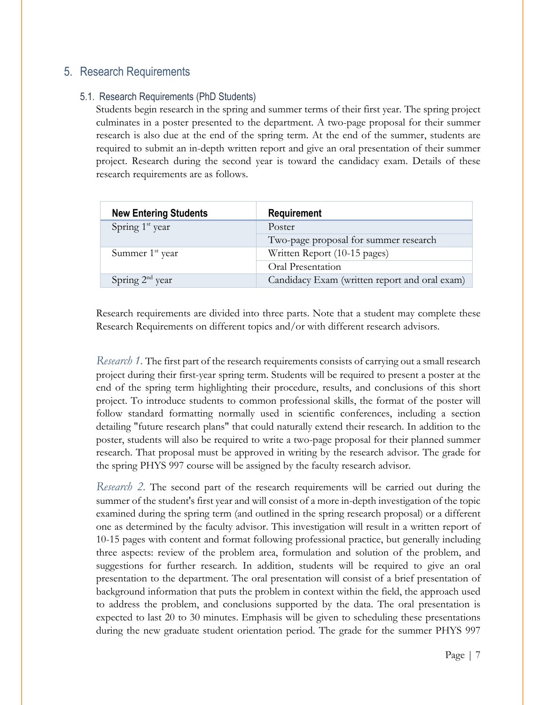# <span id="page-7-0"></span>5. Research Requirements

## 5.1. Research Requirements (PhD Students)

<span id="page-7-1"></span>Students begin research in the spring and summer terms of their first year. The spring project culminates in a poster presented to the department. A two-page proposal for their summer research is also due at the end of the spring term. At the end of the summer, students are required to submit an in-depth written report and give an oral presentation of their summer project. Research during the second year is toward the candidacy exam. Details of these research requirements are as follows.

| <b>New Entering Students</b> | Requirement                                   |
|------------------------------|-----------------------------------------------|
| Spring 1 <sup>st</sup> year  | Poster                                        |
|                              | Two-page proposal for summer research         |
| Summer $1st$ year            | Written Report (10-15 pages)                  |
|                              | Oral Presentation                             |
| Spring $2nd$ year            | Candidacy Exam (written report and oral exam) |

Research requirements are divided into three parts. Note that a student may complete these Research Requirements on different topics and/or with different research advisors.

*Research 1.* The first part of the research requirements consists of carrying out a small research project during their first-year spring term. Students will be required to present a poster at the end of the spring term highlighting their procedure, results, and conclusions of this short project. To introduce students to common professional skills, the format of the poster will follow standard formatting normally used in scientific conferences, including a section detailing "future research plans" that could naturally extend their research. In addition to the poster, students will also be required to write a two-page proposal for their planned summer research. That proposal must be approved in writing by the research advisor. The grade for the spring PHYS 997 course will be assigned by the faculty research advisor.

*Research 2.* The second part of the research requirements will be carried out during the summer of the student's first year and will consist of a more in-depth investigation of the topic examined during the spring term (and outlined in the spring research proposal) or a different one as determined by the faculty advisor. This investigation will result in a written report of 10-15 pages with content and format following professional practice, but generally including three aspects: review of the problem area, formulation and solution of the problem, and suggestions for further research. In addition, students will be required to give an oral presentation to the department. The oral presentation will consist of a brief presentation of background information that puts the problem in context within the field, the approach used to address the problem, and conclusions supported by the data. The oral presentation is expected to last 20 to 30 minutes. Emphasis will be given to scheduling these presentations during the new graduate student orientation period. The grade for the summer PHYS 997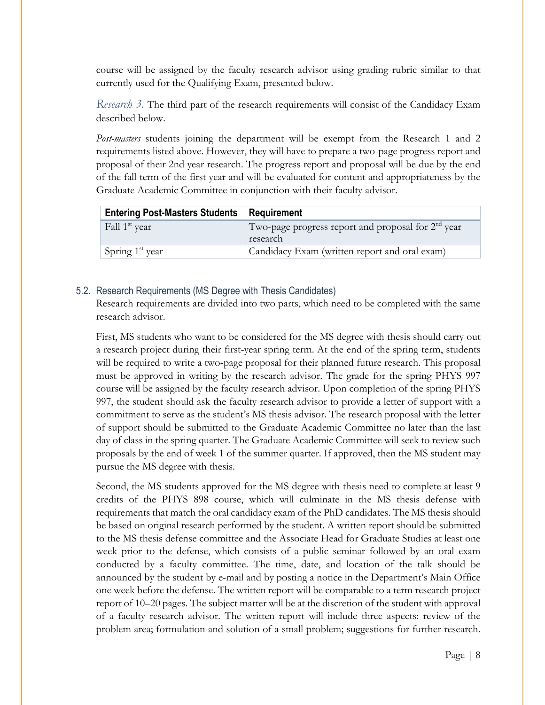course will be assigned by the faculty research advisor using grading rubric similar to that currently used for the Qualifying Exam, presented below.

*Research 3.* The third part of the research requirements will consist of the Candidacy Exam described below.

*Post-masters* students joining the department will be exempt from the Research 1 and 2 requirements listed above. However, they will have to prepare a two-page progress report and proposal of their 2nd year research. The progress report and proposal will be due by the end of the fall term of the first year and will be evaluated for content and appropriateness by the Graduate Academic Committee in conjunction with their faculty advisor.

| <b>Entering Post-Masters Students</b> | <b>Requirement</b>                                               |
|---------------------------------------|------------------------------------------------------------------|
| Fall 1 <sup>st</sup> year             | Two-page progress report and proposal for $2nd$ year<br>research |
| Spring $1st$ year                     | Candidacy Exam (written report and oral exam)                    |

#### 5.2. Research Requirements (MS Degree with Thesis Candidates)

<span id="page-8-0"></span>Research requirements are divided into two parts, which need to be completed with the same research advisor.

First, MS students who want to be considered for the MS degree with thesis should carry out a research project during their first-year spring term. At the end of the spring term, students will be required to write a two-page proposal for their planned future research. This proposal must be approved in writing by the research advisor. The grade for the spring PHYS 997 course will be assigned by the faculty research advisor. Upon completion of the spring PHYS 997, the student should ask the faculty research advisor to provide a letter of support with a commitment to serve as the student's MS thesis advisor. The research proposal with the letter of support should be submitted to the Graduate Academic Committee no later than the last day of class in the spring quarter. The Graduate Academic Committee will seek to review such proposals by the end of week 1 of the summer quarter. If approved, then the MS student may pursue the MS degree with thesis.

Second, the MS students approved for the MS degree with thesis need to complete at least 9 credits of the PHYS 898 course, which will culminate in the MS thesis defense with requirements that match the oral candidacy exam of the PhD candidates. The MS thesis should be based on original research performed by the student. A written report should be submitted to the MS thesis defense committee and the Associate Head for Graduate Studies at least one week prior to the defense, which consists of a public seminar followed by an oral exam conducted by a faculty committee. The time, date, and location of the talk should be announced by the student by e-mail and by posting a notice in the Department's Main Office one week before the defense. The written report will be comparable to a term research project report of 10–20 pages. The subject matter will be at the discretion of the student with approval of a faculty research advisor. The written report will include three aspects: review of the problem area; formulation and solution of a small problem; suggestions for further research.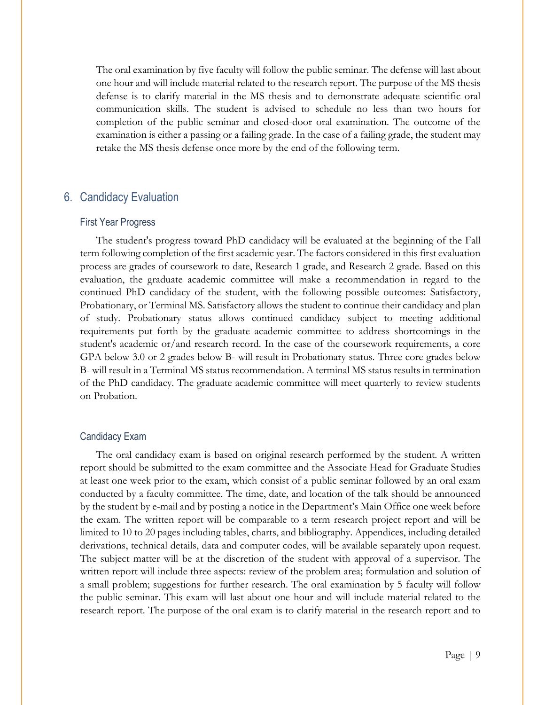The oral examination by five faculty will follow the public seminar. The defense will last about one hour and will include material related to the research report. The purpose of the MS thesis defense is to clarify material in the MS thesis and to demonstrate adequate scientific oral communication skills. The student is advised to schedule no less than two hours for completion of the public seminar and closed-door oral examination. The outcome of the examination is either a passing or a failing grade. In the case of a failing grade, the student may retake the MS thesis defense once more by the end of the following term.

#### <span id="page-9-0"></span>6. Candidacy Evaluation

#### <span id="page-9-1"></span>First Year Progress

The student's progress toward PhD candidacy will be evaluated at the beginning of the Fall term following completion of the first academic year. The factors considered in this first evaluation process are grades of coursework to date, Research 1 grade, and Research 2 grade. Based on this evaluation, the graduate academic committee will make a recommendation in regard to the continued PhD candidacy of the student, with the following possible outcomes: Satisfactory, Probationary, or Terminal MS. Satisfactory allows the student to continue their candidacy and plan of study. Probationary status allows continued candidacy subject to meeting additional requirements put forth by the graduate academic committee to address shortcomings in the student's academic or/and research record. In the case of the coursework requirements, a core GPA below 3.0 or 2 grades below B- will result in Probationary status. Three core grades below B- will result in a Terminal MS status recommendation. A terminal MS status results in termination of the PhD candidacy. The graduate academic committee will meet quarterly to review students on Probation.

#### <span id="page-9-2"></span>Candidacy Exam

The oral candidacy exam is based on original research performed by the student. A written report should be submitted to the exam committee and the Associate Head for Graduate Studies at least one week prior to the exam, which consist of a public seminar followed by an oral exam conducted by a faculty committee. The time, date, and location of the talk should be announced by the student by e-mail and by posting a notice in the Department's Main Office one week before the exam. The written report will be comparable to a term research project report and will be limited to 10 to 20 pages including tables, charts, and bibliography. Appendices, including detailed derivations, technical details, data and computer codes, will be available separately upon request. The subject matter will be at the discretion of the student with approval of a supervisor. The written report will include three aspects: review of the problem area; formulation and solution of a small problem; suggestions for further research. The oral examination by 5 faculty will follow the public seminar. This exam will last about one hour and will include material related to the research report. The purpose of the oral exam is to clarify material in the research report and to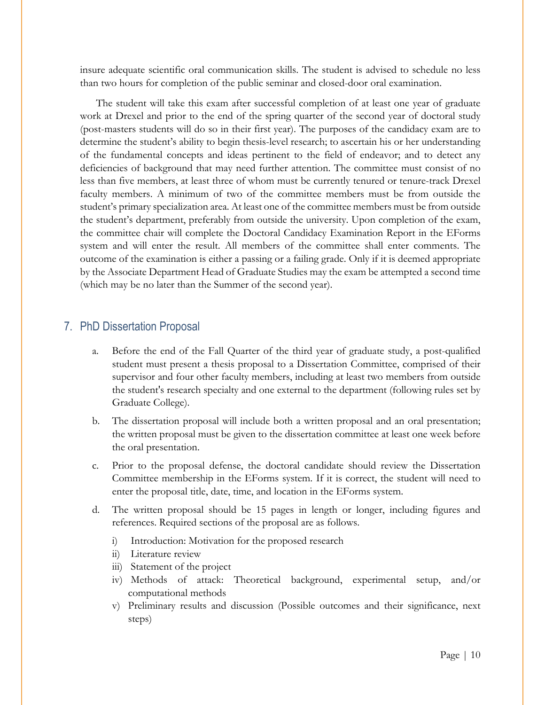insure adequate scientific oral communication skills. The student is advised to schedule no less than two hours for completion of the public seminar and closed-door oral examination.

The student will take this exam after successful completion of at least one year of graduate work at Drexel and prior to the end of the spring quarter of the second year of doctoral study (post-masters students will do so in their first year). The purposes of the candidacy exam are to determine the student's ability to begin thesis-level research; to ascertain his or her understanding of the fundamental concepts and ideas pertinent to the field of endeavor; and to detect any deficiencies of background that may need further attention. The committee must consist of no less than five members, at least three of whom must be currently tenured or tenure-track Drexel faculty members. A minimum of two of the committee members must be from outside the student's primary specialization area. At least one of the committee members must be from outside the student's department, preferably from outside the university. Upon completion of the exam, the committee chair will complete the Doctoral Candidacy Examination Report in the EForms system and will enter the result. All members of the committee shall enter comments. The outcome of the examination is either a passing or a failing grade. Only if it is deemed appropriate by the Associate Department Head of Graduate Studies may the exam be attempted a second time (which may be no later than the Summer of the second year).

#### <span id="page-10-0"></span>7. PhD Dissertation Proposal

- a. Before the end of the Fall Quarter of the third year of graduate study, a post-qualified student must present a thesis proposal to a Dissertation Committee, comprised of their supervisor and four other faculty members, including at least two members from outside the student's research specialty and one external to the department (following rules set by Graduate College).
- b. The dissertation proposal will include both a written proposal and an oral presentation; the written proposal must be given to the dissertation committee at least one week before the oral presentation.
- c. Prior to the proposal defense, the doctoral candidate should review the Dissertation Committee membership in the EForms system. If it is correct, the student will need to enter the proposal title, date, time, and location in the EForms system.
- d. The written proposal should be 15 pages in length or longer, including figures and references. Required sections of the proposal are as follows.
	- i) Introduction: Motivation for the proposed research
	- ii) Literature review
	- iii) Statement of the project
	- iv) Methods of attack: Theoretical background, experimental setup, and/or computational methods
	- v) Preliminary results and discussion (Possible outcomes and their significance, next steps)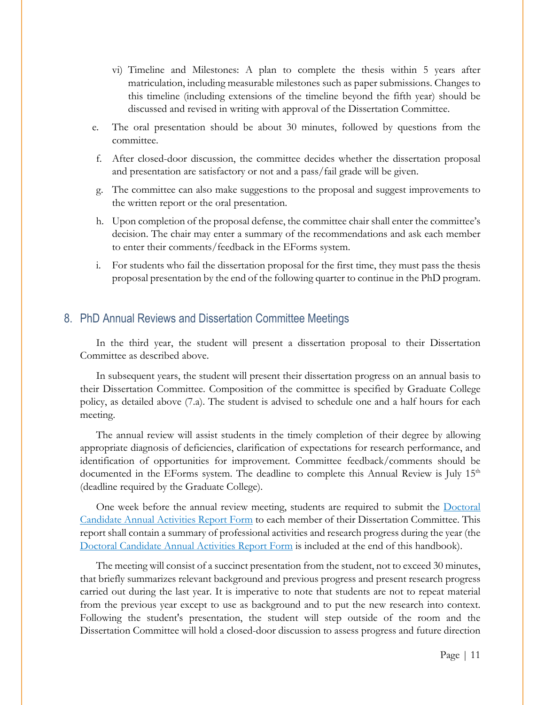- vi) Timeline and Milestones: A plan to complete the thesis within 5 years after matriculation, including measurable milestones such as paper submissions. Changes to this timeline (including extensions of the timeline beyond the fifth year) should be discussed and revised in writing with approval of the Dissertation Committee.
- e. The oral presentation should be about 30 minutes, followed by questions from the committee.
- f. After closed-door discussion, the committee decides whether the dissertation proposal and presentation are satisfactory or not and a pass/fail grade will be given.
- g. The committee can also make suggestions to the proposal and suggest improvements to the written report or the oral presentation.
- h. Upon completion of the proposal defense, the committee chair shall enter the committee's decision. The chair may enter a summary of the recommendations and ask each member to enter their comments/feedback in the EForms system.
- i. For students who fail the dissertation proposal for the first time, they must pass the thesis proposal presentation by the end of the following quarter to continue in the PhD program.

# <span id="page-11-0"></span>8. PhD Annual Reviews and Dissertation Committee Meetings

In the third year, the student will present a dissertation proposal to their Dissertation Committee as described above.

In subsequent years, the student will present their dissertation progress on an annual basis to their Dissertation Committee. Composition of the committee is specified by Graduate College policy, as detailed above (7.a). The student is advised to schedule one and a half hours for each meeting.

The annual review will assist students in the timely completion of their degree by allowing appropriate diagnosis of deficiencies, clarification of expectations for research performance, and identification of opportunities for improvement. Committee feedback/comments should be documented in the EForms system. The deadline to complete this Annual Review is July 15<sup>th</sup> (deadline required by the Graduate College).

One week before the annual review meeting, students are required to submit the Doctoral Candidate Annual Activities Report Form to each member of their Dissertation Committee. This report shall contain a summary of professional activities and research progress during the year (the Doctoral Candidate Annual Activities Report Form is included at the end of this handbook).

The meeting will consist of a succinct presentation from the student, not to exceed 30 minutes, that briefly summarizes relevant background and previous progress and present research progress carried out during the last year. It is imperative to note that students are not to repeat material from the previous year except to use as background and to put the new research into context. Following the student's presentation, the student will step outside of the room and the Dissertation Committee will hold a closed-door discussion to assess progress and future direction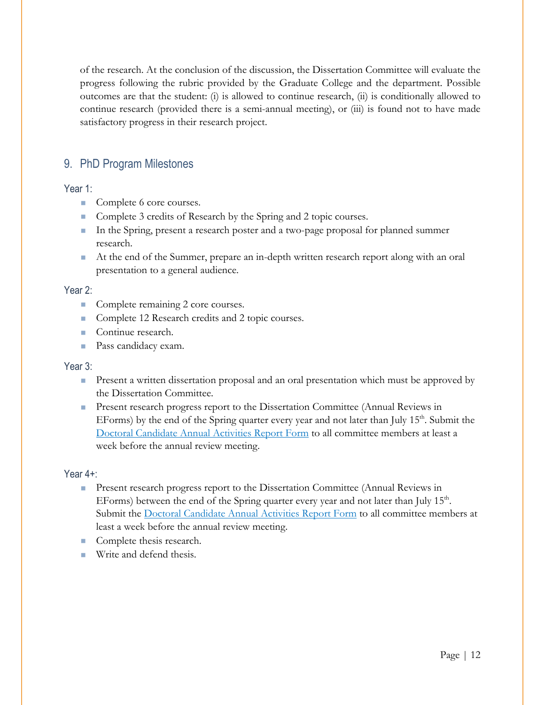of the research. At the conclusion of the discussion, the Dissertation Committee will evaluate the progress following the rubric provided by the Graduate College and the department. Possible outcomes are that the student: (i) is allowed to continue research, (ii) is conditionally allowed to continue research (provided there is a semi-annual meeting), or (iii) is found not to have made satisfactory progress in their research project.

# <span id="page-12-0"></span>9. PhD Program Milestones

## <span id="page-12-1"></span>Year 1:

- Complete 6 core courses.
- Complete 3 credits of Research by the Spring and 2 topic courses.
- In the Spring, present a research poster and a two-page proposal for planned summer research.
- At the end of the Summer, prepare an in-depth written research report along with an oral presentation to a general audience.

## <span id="page-12-2"></span>Year 2:

- Complete remaining 2 core courses.
- Complete 12 Research credits and 2 topic courses.
- Continue research.
- **Pass candidacy exam.**

#### <span id="page-12-3"></span>Year 3:

- **Present a written dissertation proposal and an oral presentation which must be approved by** the Dissertation Committee.
- **Present research progress report to the Dissertation Committee (Annual Reviews in** EForms) by the end of the Spring quarter every year and not later than July  $15<sup>th</sup>$ . Submit the Doctoral Candidate Annual Activities Report Form to all committee members at least a week before the annual review meeting.

#### <span id="page-12-4"></span>Year 4+:

- **Present research progress report to the Dissertation Committee (Annual Reviews in** EForms) between the end of the Spring quarter every year and not later than July  $15<sup>th</sup>$ . Submit the Doctoral Candidate Annual Activities Report Form to all committee members at least a week before the annual review meeting.
- Complete thesis research.
- **Write and defend thesis.**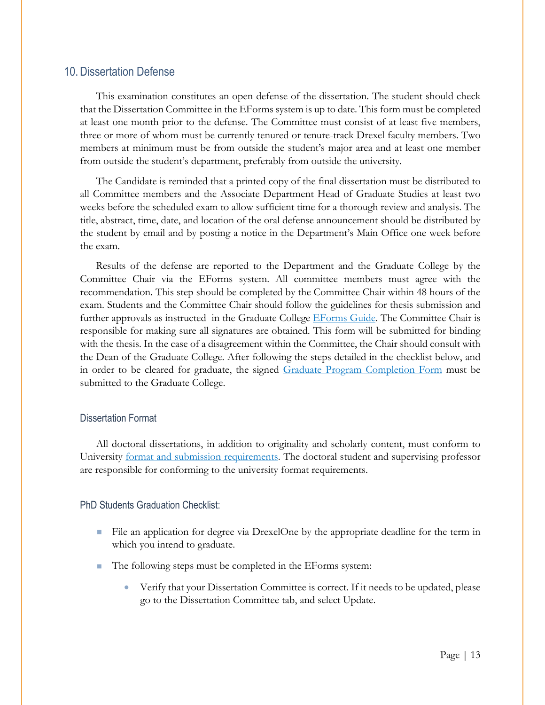# <span id="page-13-0"></span>10. Dissertation Defense

This examination constitutes an open defense of the dissertation. The student should check that the Dissertation Committee in the EForms system is up to date. This form must be completed at least one month prior to the defense. The Committee must consist of at least five members, three or more of whom must be currently tenured or tenure-track Drexel faculty members. Two members at minimum must be from outside the student's major area and at least one member from outside the student's department, preferably from outside the university.

The Candidate is reminded that a printed copy of the final dissertation must be distributed to all Committee members and the Associate Department Head of Graduate Studies at least two weeks before the scheduled exam to allow sufficient time for a thorough review and analysis. The title, abstract, time, date, and location of the oral defense announcement should be distributed by the student by email and by posting a notice in the Department's Main Office one week before the exam.

Results of the defense are reported to the Department and the Graduate College by the Committee Chair via the EForms system. All committee members must agree with the recommendation. This step should be completed by the Committee Chair within 48 hours of the exam. Students and the Committee Chair should follow the guidelines for thesis submission and further approvals as instructed in the Graduate College **EForms Guide**. The Committee Chair is responsible for making sure all signatures are obtained. This form will be submitted for binding with the thesis. In the case of a disagreement within the Committee, the Chair should consult with the Dean of the Graduate College. After following the steps detailed in the checklist below, and in order to be cleared for graduate, the signed [Graduate Program Completion Form](https://drexel.edu/%7E/media/Files/graduatecollege/forms/Graduate%20Program%20Completion%20Form.ashx?la=en) must be submitted to the Graduate College.

#### <span id="page-13-1"></span>Dissertation Format

All doctoral dissertations, in addition to originality and scholarly content, must conform to University [format and submission requirements.](https://www.library.drexel.edu/services/thesis-and-dissertation/) The doctoral student and supervising professor are responsible for conforming to the university format requirements.

#### <span id="page-13-2"></span>PhD Students Graduation Checklist:

- File an application for degree via DrexelOne by the appropriate deadline for the term in which you intend to graduate.
- The following steps must be completed in the EForms system:
	- Verify that your Dissertation Committee is correct. If it needs to be updated, please go to the Dissertation Committee tab, and select Update.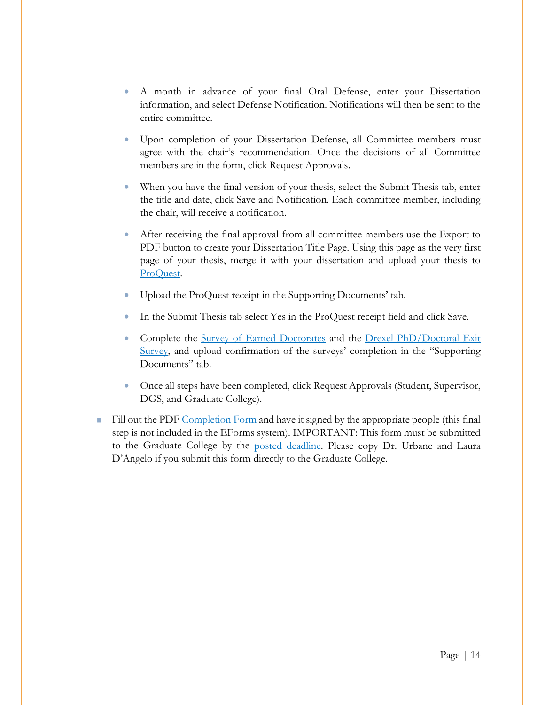- A month in advance of your final Oral Defense, enter your Dissertation information, and select Defense Notification. Notifications will then be sent to the entire committee.
- Upon completion of your Dissertation Defense, all Committee members must agree with the chair's recommendation. Once the decisions of all Committee members are in the form, click Request Approvals.
- When you have the final version of your thesis, select the Submit Thesis tab, enter the title and date, click Save and Notification. Each committee member, including the chair, will receive a notification.
- After receiving the final approval from all committee members use the Export to PDF button to create your Dissertation Title Page. Using this page as the very first page of your thesis, merge it with your dissertation and upload your thesis to [ProQuest.](http://www.etdadmin.com/drexel)
- Upload the ProQuest receipt in the Supporting Documents' tab.
- In the Submit Thesis tab select Yes in the ProQuest receipt field and click Save.
- Complete the [Survey of Earned Doctorates](https://sed-ncses.org/GradDateRouter.aspx) and the Drexel PhD/Doctoral Exit [Survey,](http://drexel.qualtrics.com/SE/?SID=SV_8owTHeVd8M7ugJv) and upload confirmation of the surveys' completion in the "Supporting Documents" tab.
- Once all steps have been completed, click Request Approvals (Student, Supervisor, DGS, and Graduate College).
- Fill out the PDF [Completion Form](http://drexel.edu/%7E/media/Files/graduatecollege/forms/Graduate%20Program%20Completion%20Form.ashx?la=en) and have it signed by the appropriate people (this final step is not included in the EForms system). IMPORTANT: This form must be submitted to the Graduate College by the [posted deadline.](https://drexel.edu/graduatecollege/news-events/graduation/) Please copy Dr. Urbanc and Laura D'Angelo if you submit this form directly to the Graduate College.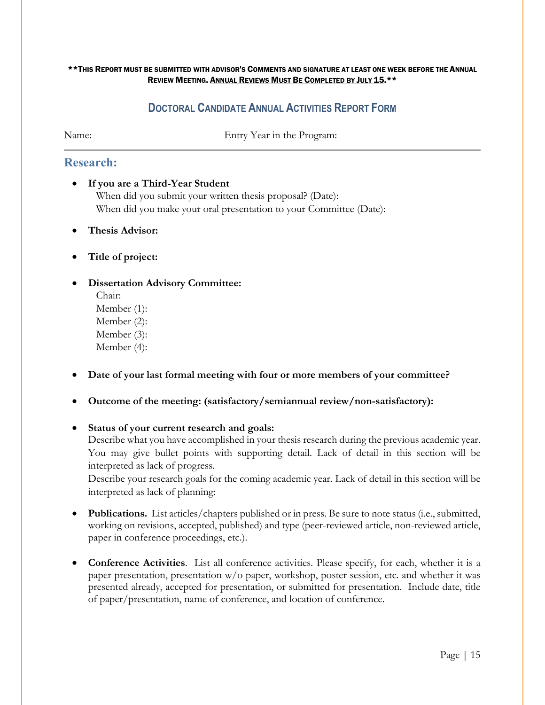#### \*\*THIS REPORT MUST BE SUBMITTED WITH ADVISOR'S COMMENTS AND SIGNATURE AT LEAST ONE WEEK BEFORE THE ANNUAL REVIEW MEETING. ANNUAL REVIEWS MUST BE COMPLETED BY JULY 15.\*\*

# **DOCTORAL CANDIDATE ANNUAL ACTIVITIES REPORT FORM**

<span id="page-15-0"></span>Name: Entry Year in the Program:

# **Research:**

- **If you are a Third-Year Student** When did you submit your written thesis proposal? (Date): When did you make your oral presentation to your Committee (Date):
- **Thesis Advisor:**
- **Title of project:**
- **Dissertation Advisory Committee:**

Chair: Member (1): Member (2): Member (3): Member (4):

- **Date of your last formal meeting with four or more members of your committee?**
- **Outcome of the meeting: (satisfactory/semiannual review/non-satisfactory):**
- **Status of your current research and goals:** Describe what you have accomplished in your thesis research during the previous academic year. You may give bullet points with supporting detail. Lack of detail in this section will be

interpreted as lack of progress. Describe your research goals for the coming academic year. Lack of detail in this section will be interpreted as lack of planning:

- **Publications.** List articles/chapters published or in press. Be sure to note status (i.e., submitted, working on revisions, accepted, published) and type (peer-reviewed article, non-reviewed article, paper in conference proceedings, etc.).
- **Conference Activities**. List all conference activities. Please specify, for each, whether it is a paper presentation, presentation w/o paper, workshop, poster session, etc. and whether it was presented already, accepted for presentation, or submitted for presentation. Include date, title of paper/presentation, name of conference, and location of conference.